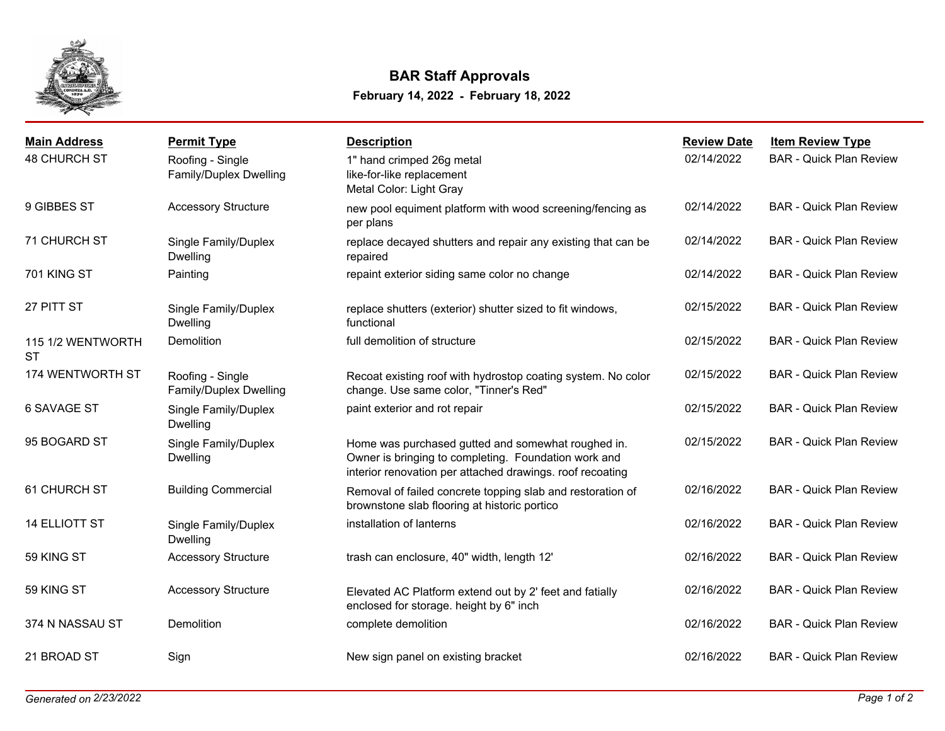

## **February 14, 2022 - February 18, 2022 BAR Staff Approvals**

| <b>Main Address</b>            | <b>Permit Type</b>                         | <b>Description</b>                                                                                                                                                      | <b>Review Date</b> | <b>Item Review Type</b>        |
|--------------------------------|--------------------------------------------|-------------------------------------------------------------------------------------------------------------------------------------------------------------------------|--------------------|--------------------------------|
| <b>48 CHURCH ST</b>            | Roofing - Single<br>Family/Duplex Dwelling | 1" hand crimped 26g metal<br>like-for-like replacement<br>Metal Color: Light Gray                                                                                       | 02/14/2022         | <b>BAR - Quick Plan Review</b> |
| 9 GIBBES ST                    | <b>Accessory Structure</b>                 | new pool equiment platform with wood screening/fencing as<br>per plans                                                                                                  | 02/14/2022         | <b>BAR - Quick Plan Review</b> |
| 71 CHURCH ST                   | Single Family/Duplex<br><b>Dwelling</b>    | replace decayed shutters and repair any existing that can be<br>repaired                                                                                                | 02/14/2022         | <b>BAR - Quick Plan Review</b> |
| 701 KING ST                    | Painting                                   | repaint exterior siding same color no change                                                                                                                            | 02/14/2022         | <b>BAR - Quick Plan Review</b> |
| 27 PITT ST                     | Single Family/Duplex<br><b>Dwelling</b>    | replace shutters (exterior) shutter sized to fit windows,<br>functional                                                                                                 | 02/15/2022         | <b>BAR - Quick Plan Review</b> |
| 115 1/2 WENTWORTH<br><b>ST</b> | Demolition                                 | full demolition of structure                                                                                                                                            | 02/15/2022         | <b>BAR - Quick Plan Review</b> |
| 174 WENTWORTH ST               | Roofing - Single<br>Family/Duplex Dwelling | Recoat existing roof with hydrostop coating system. No color<br>change. Use same color, "Tinner's Red"                                                                  | 02/15/2022         | <b>BAR - Quick Plan Review</b> |
| <b>6 SAVAGE ST</b>             | Single Family/Duplex<br>Dwelling           | paint exterior and rot repair                                                                                                                                           | 02/15/2022         | <b>BAR - Quick Plan Review</b> |
| 95 BOGARD ST                   | Single Family/Duplex<br>Dwelling           | Home was purchased gutted and somewhat roughed in.<br>Owner is bringing to completing. Foundation work and<br>interior renovation per attached drawings. roof recoating | 02/15/2022         | <b>BAR - Quick Plan Review</b> |
| 61 CHURCH ST                   | <b>Building Commercial</b>                 | Removal of failed concrete topping slab and restoration of<br>brownstone slab flooring at historic portico                                                              | 02/16/2022         | <b>BAR - Quick Plan Review</b> |
| <b>14 ELLIOTT ST</b>           | Single Family/Duplex<br><b>Dwelling</b>    | installation of lanterns                                                                                                                                                | 02/16/2022         | <b>BAR - Quick Plan Review</b> |
| 59 KING ST                     | <b>Accessory Structure</b>                 | trash can enclosure, 40" width, length 12'                                                                                                                              | 02/16/2022         | <b>BAR - Quick Plan Review</b> |
| 59 KING ST                     | <b>Accessory Structure</b>                 | Elevated AC Platform extend out by 2' feet and fatially<br>enclosed for storage. height by 6" inch                                                                      | 02/16/2022         | <b>BAR - Quick Plan Review</b> |
| 374 N NASSAU ST                | Demolition                                 | complete demolition                                                                                                                                                     | 02/16/2022         | <b>BAR - Quick Plan Review</b> |
| 21 BROAD ST                    | Sign                                       | New sign panel on existing bracket                                                                                                                                      | 02/16/2022         | <b>BAR - Quick Plan Review</b> |